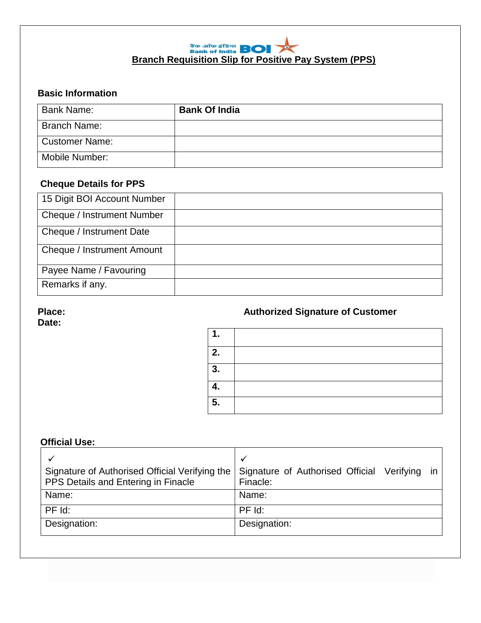# **Branch Requisition Slip for Positive Pay System (PPS)**

# **Basic Information**

| Bank Name:            | <b>Bank Of India</b> |
|-----------------------|----------------------|
| <b>Branch Name:</b>   |                      |
| <b>Customer Name:</b> |                      |
| Mobile Number:        |                      |

## **Cheque Details for PPS**

| 15 Digit BOI Account Number |  |
|-----------------------------|--|
| Cheque / Instrument Number  |  |
| Cheque / Instrument Date    |  |
| Cheque / Instrument Amount  |  |
| Payee Name / Favouring      |  |
| Remarks if any.             |  |

 **Date:** 

## **Place:** *CON* **Place: Place: Place: Authorized Signature of Customer**

| 2. |  |
|----|--|
| 3. |  |
|    |  |
| 5. |  |

## **Official Use:**

| Signature of Authorised Official Verifying the<br>PPS Details and Entering in Finacle | Signature of Authorised Official Verifying<br>in<br>Finacle: |
|---------------------------------------------------------------------------------------|--------------------------------------------------------------|
| Name:                                                                                 | Name:                                                        |
| $PF$ $Id:$                                                                            | $PF$ $Id$ :                                                  |
| Designation:                                                                          | Designation:                                                 |